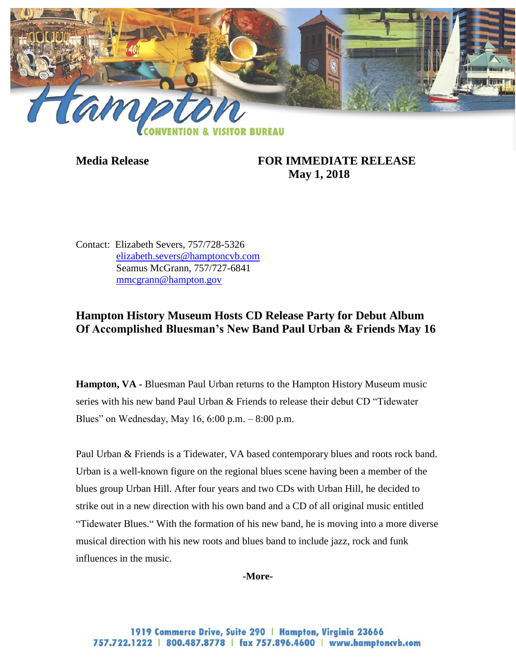

**Media Release FOR IMMEDIATE RELEASE May 1, 2018**

Contact: Elizabeth Severs, 757/728-5326 [elizabeth.severs@hamptoncvb.com](mailto:elizabeth.severs@hamptoncvb.com) Seamus McGrann, 757/727-6841 [mmcgrann@hampton.gov](mailto:mmcgrann@hampton.gov)

## **Hampton History Museum Hosts CD Release Party for Debut Album Of Accomplished Bluesman's New Band Paul Urban & Friends May 16**

**Hampton, VA -** Bluesman Paul Urban returns to the Hampton History Museum music series with his new band Paul Urban & Friends to release their debut CD "Tidewater Blues" on Wednesday, May 16, 6:00 p.m. – 8:00 p.m.

Paul Urban & Friends is a Tidewater, VA based contemporary blues and roots rock band. Urban is a well-known figure on the regional blues scene having been a member of the blues group Urban Hill. After four years and two CDs with Urban Hill, he decided to strike out in a new direction with his own band and a CD of all original music entitled "Tidewater Blues." With the formation of [his](https://www.facebook.com/PaulUrbanBlues/) new band, he is moving into a more diverse musical direction with his new roots and blues band to include jazz, rock and funk influences in the music.

**-More-**